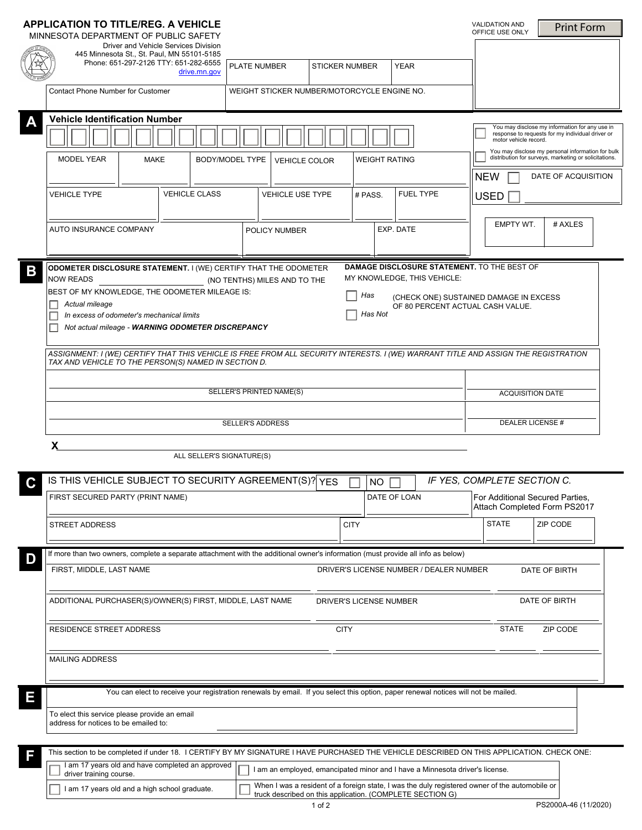|             | <b>APPLICATION TO TITLE/REG. A VEHICLE</b><br>MINNESOTA DEPARTMENT OF PUBLIC SAFETY                                                                                                               |                                                                                    |                                       |                                             |                                                                                                                                                             |                          | <b>VALIDATION AND</b><br>OFFICE USE ONLY                                                                                    | <b>Print Form</b>                                                                                          |  |  |
|-------------|---------------------------------------------------------------------------------------------------------------------------------------------------------------------------------------------------|------------------------------------------------------------------------------------|---------------------------------------|---------------------------------------------|-------------------------------------------------------------------------------------------------------------------------------------------------------------|--------------------------|-----------------------------------------------------------------------------------------------------------------------------|------------------------------------------------------------------------------------------------------------|--|--|
|             | Driver and Vehicle Services Division<br>445 Minnesota St., St. Paul, MN 55101-5185                                                                                                                |                                                                                    |                                       |                                             |                                                                                                                                                             |                          |                                                                                                                             |                                                                                                            |  |  |
|             | Phone: 651-297-2126 TTY: 651-282-6555                                                                                                                                                             | <b>PLATE NUMBER</b><br>drive.mn.gov                                                |                                       | <b>STICKER NUMBER</b>                       | <b>YEAR</b>                                                                                                                                                 |                          |                                                                                                                             |                                                                                                            |  |  |
|             |                                                                                                                                                                                                   |                                                                                    |                                       | WEIGHT STICKER NUMBER/MOTORCYCLE ENGINE NO. |                                                                                                                                                             |                          |                                                                                                                             |                                                                                                            |  |  |
|             | <b>Contact Phone Number for Customer</b>                                                                                                                                                          |                                                                                    |                                       |                                             |                                                                                                                                                             |                          |                                                                                                                             |                                                                                                            |  |  |
|             | <b>Vehicle Identification Number</b>                                                                                                                                                              |                                                                                    |                                       |                                             |                                                                                                                                                             |                          |                                                                                                                             |                                                                                                            |  |  |
|             |                                                                                                                                                                                                   |                                                                                    |                                       |                                             |                                                                                                                                                             |                          | You may disclose my information for any use in<br>response to requests for my individual driver or<br>motor vehicle record. |                                                                                                            |  |  |
|             | <b>MODEL YEAR</b><br>MAKE                                                                                                                                                                         | <b>BODY/MODEL TYPE</b>                                                             | WEIGHT RATING<br><b>VEHICLE COLOR</b> |                                             |                                                                                                                                                             |                          |                                                                                                                             | You may disclose my personal information for bulk<br>distribution for surveys, marketing or solicitations. |  |  |
|             |                                                                                                                                                                                                   |                                                                                    |                                       |                                             |                                                                                                                                                             | $\blacktriangledown$     | <b>NEW</b>                                                                                                                  | DATE OF ACQUISITION                                                                                        |  |  |
|             | <b>VEHICLE TYPE</b>                                                                                                                                                                               | <b>VEHICLE CLASS</b>                                                               | <b>VEHICLE USE TYPE</b>               | # PASS.                                     | <b>FUEL TYPE</b>                                                                                                                                            |                          | <b>USED</b>                                                                                                                 |                                                                                                            |  |  |
|             | $\blacktriangledown$                                                                                                                                                                              | $\blacktriangledown$                                                               |                                       | $\blacktriangledown$                        | $\blacktriangledown$                                                                                                                                        | $\overline{\phantom{a}}$ |                                                                                                                             |                                                                                                            |  |  |
|             | <b>AUTO INSURANCE COMPANY</b>                                                                                                                                                                     |                                                                                    | POLICY NUMBER                         |                                             | EXP. DATE                                                                                                                                                   |                          | EMPTY WT.                                                                                                                   | # AXLES                                                                                                    |  |  |
|             |                                                                                                                                                                                                   |                                                                                    |                                       |                                             |                                                                                                                                                             |                          |                                                                                                                             |                                                                                                            |  |  |
|             |                                                                                                                                                                                                   |                                                                                    |                                       |                                             |                                                                                                                                                             |                          |                                                                                                                             |                                                                                                            |  |  |
| $\mathbf B$ | DAMAGE DISCLOSURE STATEMENT. TO THE BEST OF<br>ODOMETER DISCLOSURE STATEMENT. I (WE) CERTIFY THAT THE ODOMETER<br>MY KNOWLEDGE, THIS VEHICLE:<br><b>NOW READS</b><br>(NO TENTHS) MILES AND TO THE |                                                                                    |                                       |                                             |                                                                                                                                                             |                          |                                                                                                                             |                                                                                                            |  |  |
|             | BEST OF MY KNOWLEDGE, THE ODOMETER MILEAGE IS:<br>Has<br>(CHECK ONE) SUSTAINED DAMAGE IN EXCESS                                                                                                   |                                                                                    |                                       |                                             |                                                                                                                                                             |                          |                                                                                                                             |                                                                                                            |  |  |
|             | Actual mileage<br>OF 80 PERCENT ACTUAL CASH VALUE.<br>Has Not<br>In excess of odometer's mechanical limits                                                                                        |                                                                                    |                                       |                                             |                                                                                                                                                             |                          |                                                                                                                             |                                                                                                            |  |  |
|             | Not actual mileage - WARNING ODOMETER DISCREPANCY                                                                                                                                                 |                                                                                    |                                       |                                             |                                                                                                                                                             |                          |                                                                                                                             |                                                                                                            |  |  |
|             | ASSIGNMENT: I (WE) CERTIFY THAT THIS VEHICLE IS FREE FROM ALL SECURITY INTERESTS. I (WE) WARRANT TITLE AND ASSIGN THE REGISTRATION                                                                |                                                                                    |                                       |                                             |                                                                                                                                                             |                          |                                                                                                                             |                                                                                                            |  |  |
|             | TAX AND VEHICLE TO THE PERSON(S) NAMED IN SECTION D.                                                                                                                                              |                                                                                    |                                       |                                             |                                                                                                                                                             |                          |                                                                                                                             |                                                                                                            |  |  |
|             |                                                                                                                                                                                                   |                                                                                    |                                       |                                             |                                                                                                                                                             |                          |                                                                                                                             |                                                                                                            |  |  |
|             | SELLER'S PRINTED NAME(S)                                                                                                                                                                          |                                                                                    |                                       |                                             |                                                                                                                                                             |                          | <b>ACQUISITION DATE</b>                                                                                                     |                                                                                                            |  |  |
|             | <b>SELLER'S ADDRESS</b>                                                                                                                                                                           |                                                                                    |                                       |                                             |                                                                                                                                                             |                          | <b>DEALER LICENSE#</b>                                                                                                      |                                                                                                            |  |  |
|             | X                                                                                                                                                                                                 |                                                                                    |                                       |                                             |                                                                                                                                                             |                          |                                                                                                                             |                                                                                                            |  |  |
|             |                                                                                                                                                                                                   | ALL SELLER'S SIGNATURE(S)                                                          |                                       |                                             |                                                                                                                                                             |                          |                                                                                                                             |                                                                                                            |  |  |
|             |                                                                                                                                                                                                   |                                                                                    |                                       |                                             |                                                                                                                                                             |                          | IF YES, COMPLETE SECTION C.                                                                                                 |                                                                                                            |  |  |
|             | FIRST SECURED PARTY (PRINT NAME)                                                                                                                                                                  | IS THIS VEHICLE SUBJECT TO SECURITY AGREEMENT(S)? YES<br><b>NO</b><br>DATE OF LOAN |                                       |                                             |                                                                                                                                                             |                          |                                                                                                                             | For Additional Secured Parties,                                                                            |  |  |
|             |                                                                                                                                                                                                   |                                                                                    |                                       |                                             |                                                                                                                                                             |                          | Attach Completed Form PS2017                                                                                                |                                                                                                            |  |  |
|             | <b>STREET ADDRESS</b>                                                                                                                                                                             |                                                                                    |                                       | <b>CITY</b>                                 |                                                                                                                                                             |                          | <b>STATE</b>                                                                                                                | ZIP CODE                                                                                                   |  |  |
|             |                                                                                                                                                                                                   |                                                                                    |                                       |                                             |                                                                                                                                                             |                          |                                                                                                                             |                                                                                                            |  |  |
| D           | If more than two owners, complete a separate attachment with the additional owner's information (must provide all info as below)                                                                  |                                                                                    |                                       |                                             |                                                                                                                                                             |                          |                                                                                                                             |                                                                                                            |  |  |
|             | FIRST, MIDDLE, LAST NAME<br>DRIVER'S LICENSE NUMBER / DEALER NUMBER<br>DATE OF BIRTH                                                                                                              |                                                                                    |                                       |                                             |                                                                                                                                                             |                          |                                                                                                                             |                                                                                                            |  |  |
|             | DATE OF BIRTH<br>ADDITIONAL PURCHASER(S)/OWNER(S) FIRST, MIDDLE, LAST NAME<br><b>DRIVER'S LICENSE NUMBER</b>                                                                                      |                                                                                    |                                       |                                             |                                                                                                                                                             |                          |                                                                                                                             |                                                                                                            |  |  |
|             |                                                                                                                                                                                                   |                                                                                    |                                       |                                             |                                                                                                                                                             |                          |                                                                                                                             |                                                                                                            |  |  |
|             | RESIDENCE STREET ADDRESS                                                                                                                                                                          |                                                                                    |                                       | <b>CITY</b>                                 |                                                                                                                                                             |                          | <b>STATE</b>                                                                                                                | ZIP CODE                                                                                                   |  |  |
|             |                                                                                                                                                                                                   |                                                                                    |                                       |                                             |                                                                                                                                                             |                          |                                                                                                                             |                                                                                                            |  |  |
|             | <b>MAILING ADDRESS</b>                                                                                                                                                                            |                                                                                    |                                       |                                             |                                                                                                                                                             |                          |                                                                                                                             |                                                                                                            |  |  |
|             | You can elect to receive your registration renewals by email. If you select this option, paper renewal notices will not be mailed.                                                                |                                                                                    |                                       |                                             |                                                                                                                                                             |                          |                                                                                                                             |                                                                                                            |  |  |
| Ε           |                                                                                                                                                                                                   |                                                                                    |                                       |                                             |                                                                                                                                                             |                          |                                                                                                                             |                                                                                                            |  |  |
|             | To elect this service please provide an email<br>address for notices to be emailed to:                                                                                                            |                                                                                    |                                       |                                             |                                                                                                                                                             |                          |                                                                                                                             |                                                                                                            |  |  |
|             |                                                                                                                                                                                                   |                                                                                    |                                       |                                             |                                                                                                                                                             |                          |                                                                                                                             |                                                                                                            |  |  |
| F           | This section to be completed if under 18. I CERTIFY BY MY SIGNATURE I HAVE PURCHASED THE VEHICLE DESCRIBED ON THIS APPLICATION. CHECK ONE:                                                        |                                                                                    |                                       |                                             |                                                                                                                                                             |                          |                                                                                                                             |                                                                                                            |  |  |
|             | I am 17 years old and have completed an approved<br>driver training course.                                                                                                                       |                                                                                    |                                       |                                             | I am an employed, emancipated minor and I have a Minnesota driver's license.                                                                                |                          |                                                                                                                             |                                                                                                            |  |  |
|             | I am 17 years old and a high school graduate.                                                                                                                                                     |                                                                                    |                                       |                                             | When I was a resident of a foreign state, I was the duly registered owner of the automobile or<br>truck described on this application. (COMPLETE SECTION G) |                          |                                                                                                                             |                                                                                                            |  |  |